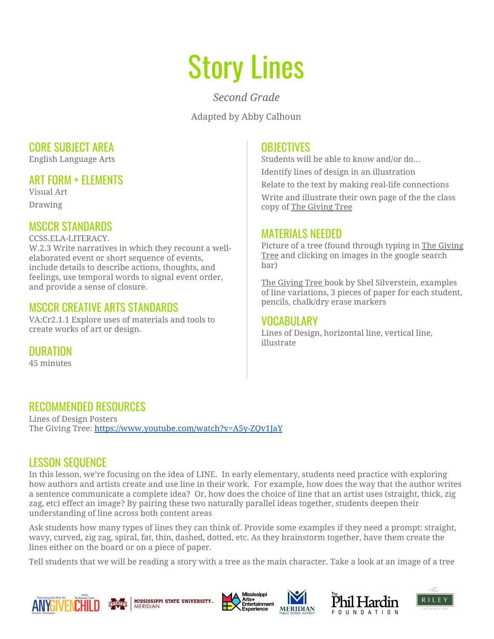# Story Lines

*Second Grade*

Adapted by Abby Calhoun

## CORE SUBJECT AREA

English Language Arts

## ART FORM + ELEMENTS

Visual Art Drawing

# MSCCR STANDARDS

CCSS.ELA-LITERACY.

W.2.3 Write narratives in which they recount a wellelaborated event or short sequence of events, include details to describe actions, thoughts, and feelings, use temporal words to signal event order, and provide a sense of closure.

## MSCCR CREATIVE ARTS STANDARDS

VA:Cr2.1.1 Explore uses of materials and tools to create works of art or design.

**DURATION** 

45 minutes

## **OBJECTIVES**

Students will be able to know and/or do… Identify lines of design in an illustration Relate to the text by making real-life connections Write and illustrate their own page of the the class copy of The Giving Tree

## MATERIALS NEEDED

Picture of a tree (found through typing in The Giving Tree and clicking on images in the google search bar)

The Giving Tree book by Shel Silverstein, examples of line variations, 3 pieces of paper for each student, pencils, chalk/dry erase markers

#### VOCABULARY

Lines of Design, horizontal line, vertical line, illustrate

# RECOMMENDED RESOURCES

Lines of Design Posters The Giving Tree: <https://www.youtube.com/watch?v=A5y-ZQv1JaY>

# LESSON SEQUENCE

In this lesson, we're focusing on the idea of LINE. In early elementary, students need practice with exploring how authors and artists create and use line in their work. For example, how does the way that the author writes a sentence communicate a complete idea? Or, how does the choice of line that an artist uses (straight, thick, zig zag, etc) effect an image? By pairing these two naturally parallel ideas together, students deepen their understanding of line across both content areas

Ask students how many types of lines they can think of. Provide some examples if they need a prompt: straight, wavy, curved, zig zag, spiral, fat, thin, dashed, dotted, etc. As they brainstorm together, have them create the lines either on the board or on a piece of paper.

Tell students that we will be reading a story with a tree as the main character. Take a look at an image of a tree